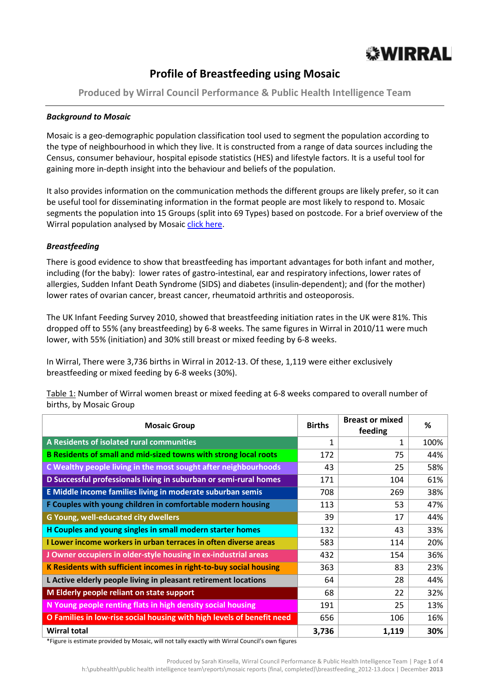

# **Profile of Breastfeeding using Mosaic**

**Produced by Wirral Council Performance & Public Health Intelligence Team**

#### *Background to Mosaic*

Mosaic is a geo-demographic population classification tool used to segment the population according to the type of neighbourhood in which they live. It is constructed from a range of data sources including the Census, consumer behaviour, hospital episode statistics (HES) and lifestyle factors. It is a useful tool for gaining more in-depth insight into the behaviour and beliefs of the population.

It also provides information on the communication methods the different groups are likely prefer, so it can be useful tool for disseminating information in the format people are most likely to respond to. Mosaic segments the population into 15 Groups (split into 69 Types) based on postcode. For a brief overview of the Wirral population analysed by Mosai[c click here.](http://info.wirral.nhs.uk/document_uploads/Geodemographics/NewMosaicProfileofWirral2010.pdf)

#### *Breastfeeding*

There is good evidence to show that breastfeeding has important advantages for both infant and mother, including (for the baby): lower rates of gastro-intestinal, ear and respiratory infections, lower rates of allergies, Sudden Infant Death Syndrome (SIDS) and diabetes (insulin-dependent); and (for the mother) lower rates of ovarian cancer, breast cancer, rheumatoid arthritis and osteoporosis.

The UK Infant Feeding Survey 2010, showed that breastfeeding initiation rates in the UK were 81%. This dropped off to 55% (any breastfeeding) by 6-8 weeks. The same figures in Wirral in 2010/11 were much lower, with 55% (initiation) and 30% still breast or mixed feeding by 6-8 weeks.

In Wirral, There were 3,736 births in Wirral in 2012-13. Of these, 1,119 were either exclusively breastfeeding or mixed feeding by 6-8 weeks (30%).

Table 1: Number of Wirral women breast or mixed feeding at 6-8 weeks compared to overall number of births, by Mosaic Group

| <b>Mosaic Group</b>                                                    | <b>Births</b> | <b>Breast or mixed</b><br>feeding | %    |
|------------------------------------------------------------------------|---------------|-----------------------------------|------|
| A Residents of isolated rural communities                              | 1             | 1                                 | 100% |
| B Residents of small and mid-sized towns with strong local roots       | 172           | 75                                | 44%  |
| C Wealthy people living in the most sought after neighbourhoods        | 43            | 25                                | 58%  |
| D Successful professionals living in suburban or semi-rural homes      | 171           | 104                               | 61%  |
| E Middle income families living in moderate suburban semis             | 708           | 269                               | 38%  |
| F Couples with young children in comfortable modern housing            | 113           | 53                                | 47%  |
| G Young, well-educated city dwellers                                   | 39            | 17                                | 44%  |
| H Couples and young singles in small modern starter homes              | 132           | 43                                | 33%  |
| I Lower income workers in urban terraces in often diverse areas        | 583           | 114                               | 20%  |
| J Owner occupiers in older-style housing in ex-industrial areas        | 432           | 154                               | 36%  |
| K Residents with sufficient incomes in right-to-buy social housing     | 363           | 83                                | 23%  |
| L Active elderly people living in pleasant retirement locations        | 64            | 28                                | 44%  |
| M Elderly people reliant on state support                              | 68            | 22                                | 32%  |
| N Young people renting flats in high density social housing            | 191           | 25                                | 13%  |
| O Families in low-rise social housing with high levels of benefit need | 656           | 106                               | 16%  |
| <b>Wirral total</b>                                                    | 3,736         | 1,119                             | 30%  |

\*Figure is estimate provided by Mosaic, will not tally exactly with Wirral Council's own figures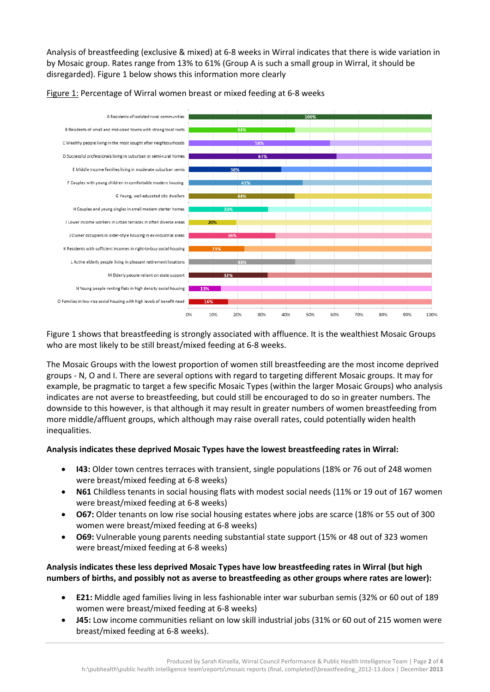Analysis of breastfeeding (exclusive & mixed) at 6-8 weeks in Wirral indicates that there is wide variation in by Mosaic group. Rates range from 13% to 61% (Group A is such a small group in Wirral, it should be disregarded). Figure 1 below shows this information more clearly



Figure 1: Percentage of Wirral women breast or mixed feeding at 6-8 weeks

Figure 1 shows that breastfeeding is strongly associated with affluence. It is the wealthiest Mosaic Groups who are most likely to be still breast/mixed feeding at 6-8 weeks.

The Mosaic Groups with the lowest proportion of women still breastfeeding are the most income deprived groups - N, O and I. There are several options with regard to targeting different Mosaic groups. It may for example, be pragmatic to target a few specific Mosaic Types (within the larger Mosaic Groups) who analysis indicates are not averse to breastfeeding, but could still be encouraged to do so in greater numbers. The downside to this however, is that although it may result in greater numbers of women breastfeeding from more middle/affluent groups, which although may raise overall rates, could potentially widen health inequalities.

## **Analysis indicates these deprived Mosaic Types have the lowest breastfeeding rates in Wirral:**

- **I43:** Older town centres terraces with transient, single populations (18% or 76 out of 248 women were breast/mixed feeding at 6-8 weeks)
- **N61** Childless tenants in social housing flats with modest social needs (11% or 19 out of 167 women were breast/mixed feeding at 6-8 weeks)
- **O67:** Older tenants on low rise social housing estates where jobs are scarce (18% or 55 out of 300 women were breast/mixed feeding at 6-8 weeks)
- **O69:** Vulnerable young parents needing substantial state support (15% or 48 out of 323 women were breast/mixed feeding at 6-8 weeks)

#### **Analysis indicates these less deprived Mosaic Types have low breastfeeding rates in Wirral (but high numbers of births, and possibly not as averse to breastfeeding as other groups where rates are lower):**

- **E21:** Middle aged families living in less fashionable inter war suburban semis (32% or 60 out of 189 women were breast/mixed feeding at 6-8 weeks)
- **J45:** Low income communities reliant on low skill industrial jobs (31% or 60 out of 215 women were breast/mixed feeding at 6-8 weeks).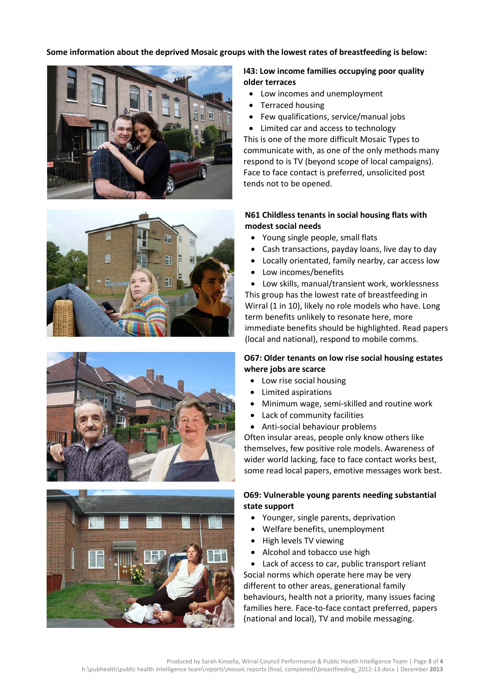**Some information about the deprived Mosaic groups with the lowest rates of breastfeeding is below:**









# **I43: Low income families occupying poor quality older terraces**

- Low incomes and unemployment
- Terraced housing
- Few qualifications, service/manual jobs
- Limited car and access to technology

This is one of the more difficult Mosaic Types to communicate with, as one of the only methods many respond to is TV (beyond scope of local campaigns). Face to face contact is preferred, unsolicited post tends not to be opened.

#### **N61 Childless tenants in social housing flats with modest social needs**

- Young single people, small flats
- Cash transactions, payday loans, live day to day
- Locally orientated, family nearby, car access low
- Low incomes/benefits

• Low skills, manual/transient work, worklessness This group has the lowest rate of breastfeeding in Wirral (1 in 10), likely no role models who have. Long term benefits unlikely to resonate here, more

immediate benefits should be highlighted. Read papers (local and national), respond to mobile comms.

## **O67: Older tenants on low rise social housing estates where jobs are scarce**

- Low rise social housing
- Limited aspirations
- Minimum wage, semi-skilled and routine work
- Lack of community facilities
- Anti-social behaviour problems

Often insular areas, people only know others like themselves, few positive role models. Awareness of wider world lacking, face to face contact works best, some read local papers, emotive messages work best.

# **O69: Vulnerable young parents needing substantial state support**

- Younger, single parents, deprivation
- Welfare benefits, unemployment
- High levels TV viewing
- Alcohol and tobacco use high

• Lack of access to car, public transport reliant Social norms which operate here may be very different to other areas, generational family behaviours, health not a priority, many issues facing families here. Face-to-face contact preferred, papers (national and local), TV and mobile messaging.